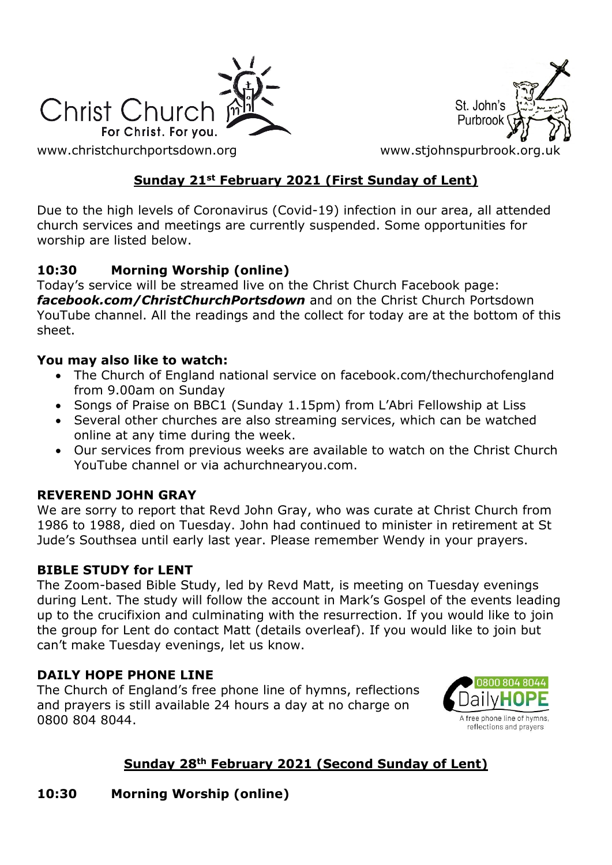

St. John's Purbrool

[www.christchurchportsdown.org](http://www.christchurchportsdown.org/) www.stjohnspurbrook.org

## **Sunday 21st February 2021 (First Sunday of Lent)**

Due to the high levels of Coronavirus (Covid-19) infection in our area, all attended church services and meetings are currently suspended. Some opportunities for worship are listed below.

### **10:30 Morning Worship (online)**

Today's service will be streamed live on the Christ Church Facebook page: *[facebook.com/ChristChurchPortsdown](http://www.facebook.com/ChristChurchPortsdown%20at%2010.30)* and on the Christ Church Portsdown YouTube channel. All the readings and the collect for today are at the bottom of this sheet.

#### **You may also like to watch:**

- The Church of England national service on facebook.com/thechurchofengland from 9.00am on Sunday
- Songs of Praise on BBC1 (Sunday 1.15pm) from L'Abri Fellowship at Liss
- Several other churches are also streaming services, which can be watched online at any time during the week.
- Our services from previous weeks are available to watch on the Christ Church YouTube channel or via achurchnearyou.com.

#### **REVEREND JOHN GRAY**

We are sorry to report that Revd John Gray, who was curate at Christ Church from 1986 to 1988, died on Tuesday. John had continued to minister in retirement at St Jude's Southsea until early last year. Please remember Wendy in your prayers.

#### **BIBLE STUDY for LENT**

The Zoom-based Bible Study, led by Revd Matt, is meeting on Tuesday evenings during Lent. The study will follow the account in Mark's Gospel of the events leading up to the crucifixion and culminating with the resurrection. If you would like to join the group for Lent do contact Matt (details overleaf). If you would like to join but can't make Tuesday evenings, let us know.

#### **DAILY HOPE PHONE LINE**

The Church of England's free phone line of hymns, reflections and prayers is still available 24 hours a day at no charge on 0800 804 8044.



# **Sunday 28th February 2021 (Second Sunday of Lent)**

**10:30 Morning Worship (online)**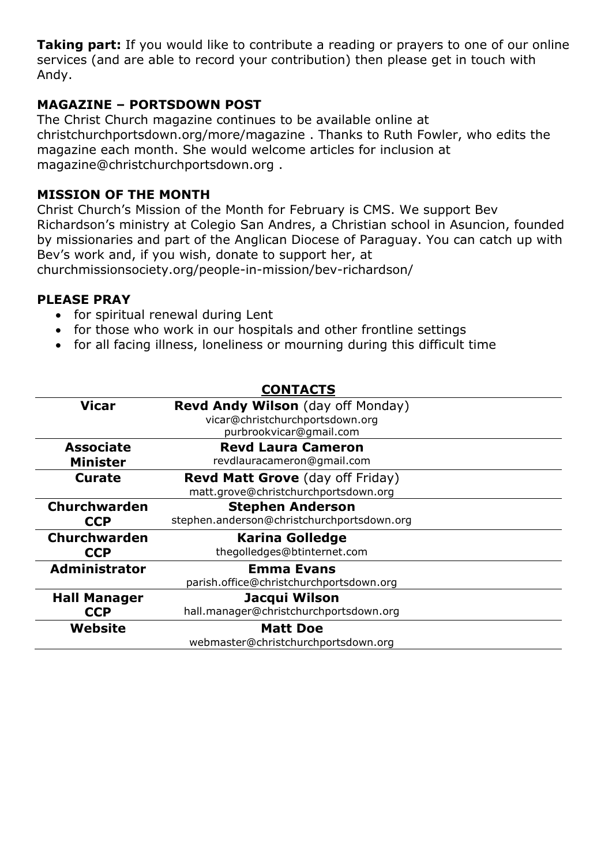**Taking part:** If you would like to contribute a reading or prayers to one of our online services (and are able to record your contribution) then please get in touch with Andy.

#### **MAGAZINE – PORTSDOWN POST**

The Christ Church magazine continues to be available online at christchurchportsdown.org/more/magazine . Thanks to Ruth Fowler, who edits the magazine each month. She would welcome articles for inclusion at [magazine@christchurchportsdown.org](mailto:magazine@christchurchportsdown.org) .

#### **MISSION OF THE MONTH**

Christ Church's Mission of the Month for February is CMS. We support Bev Richardson's ministry at Colegio San Andres, a Christian school in Asuncion, founded by missionaries and part of the Anglican Diocese of Paraguay. You can catch up with Bev's work and, if you wish, donate to support her, at [churchmissionsociety.org/people-in-mission/bev-richardson/](https://churchmissionsociety.org/people-in-mission/bev-richardson/)

#### **PLEASE PRAY**

- for spiritual renewal during Lent
- for those who work in our hospitals and other frontline settings
- for all facing illness, loneliness or mourning during this difficult time

|                                     | <b>CONTACTS</b>                                                                                        |  |
|-------------------------------------|--------------------------------------------------------------------------------------------------------|--|
| <b>Vicar</b>                        | <b>Revd Andy Wilson</b> (day off Monday)<br>vicar@christchurchportsdown.org<br>purbrookvicar@gmail.com |  |
| <b>Associate</b><br><b>Minister</b> | <b>Revd Laura Cameron</b><br>revdlauracameron@gmail.com                                                |  |
| Curate                              | <b>Revd Matt Grove</b> (day off Friday)<br>matt.grove@christchurchportsdown.org                        |  |
| <b>Churchwarden</b><br><b>CCP</b>   | <b>Stephen Anderson</b><br>stephen.anderson@christchurchportsdown.org                                  |  |
| <b>Churchwarden</b><br><b>CCP</b>   | <b>Karina Golledge</b><br>thegolledges@btinternet.com                                                  |  |
| <b>Administrator</b>                | <b>Emma Evans</b><br>parish.office@christchurchportsdown.org                                           |  |
| <b>Hall Manager</b><br><b>CCP</b>   | Jacqui Wilson<br>hall.manager@christchurchportsdown.org                                                |  |
| Website                             | <b>Matt Doe</b><br>webmaster@christchurchportsdown.org                                                 |  |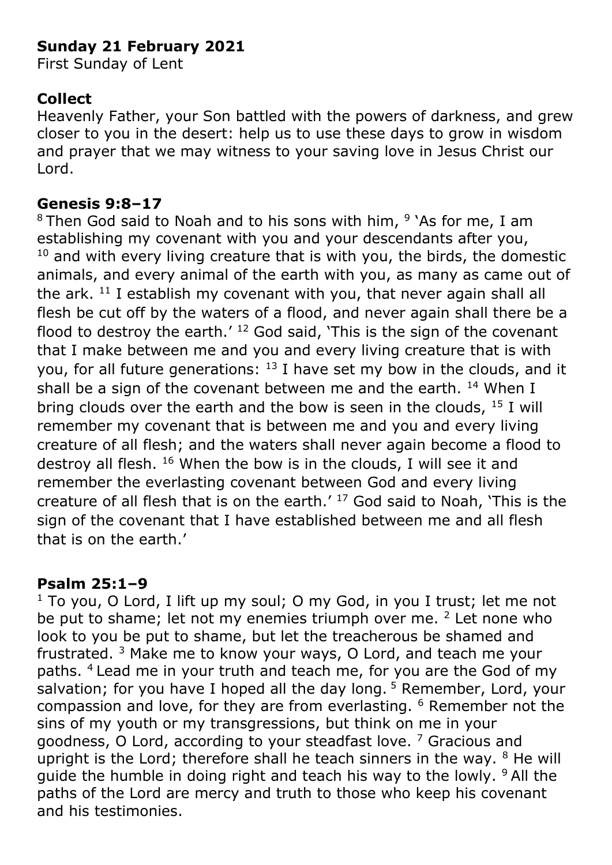# **Sunday 21 February 2021**

First Sunday of Lent

# **Collect**

Heavenly Father, your Son battled with the powers of darkness, and grew closer to you in the desert: help us to use these days to grow in wisdom and prayer that we may witness to your saving love in Jesus Christ our Lord.

## **Genesis 9:8–17**

<sup>8</sup> Then God said to Noah and to his sons with him, <sup>9</sup> 'As for me, I am establishing my covenant with you and your descendants after you,  $10$  and with every living creature that is with you, the birds, the domestic animals, and every animal of the earth with you, as many as came out of the ark.  $11$  I establish my covenant with you, that never again shall all flesh be cut off by the waters of a flood, and never again shall there be a flood to destroy the earth.'  $12$  God said, 'This is the sign of the covenant that I make between me and you and every living creature that is with you, for all future generations:  $13$  I have set my bow in the clouds, and it shall be a sign of the covenant between me and the earth.  $14$  When I bring clouds over the earth and the bow is seen in the clouds,  $15$  I will remember my covenant that is between me and you and every living creature of all flesh; and the waters shall never again become a flood to destroy all flesh. <sup>16</sup> When the bow is in the clouds, I will see it and remember the everlasting covenant between God and every living creature of all flesh that is on the earth. $17$  God said to Noah, 'This is the sign of the covenant that I have established between me and all flesh that is on the earth.'

# **Psalm 25:1–9**

 $1$  To you, O Lord, I lift up my soul; O my God, in you I trust; let me not be put to shame; let not my enemies triumph over me. <sup>2</sup> Let none who look to you be put to shame, but let the treacherous be shamed and frustrated. <sup>3</sup> Make me to know your ways, O Lord, and teach me your paths. <sup>4</sup> Lead me in your truth and teach me, for you are the God of my salvation; for you have I hoped all the day long.  $5$  Remember, Lord, your compassion and love, for they are from everlasting. <sup>6</sup> Remember not the sins of my youth or my transgressions, but think on me in your goodness, O Lord, according to your steadfast love.<sup>7</sup> Gracious and upright is the Lord; therefore shall he teach sinners in the way.  $8$  He will guide the humble in doing right and teach his way to the lowly. <sup>9</sup> All the paths of the Lord are mercy and truth to those who keep his covenant and his testimonies.